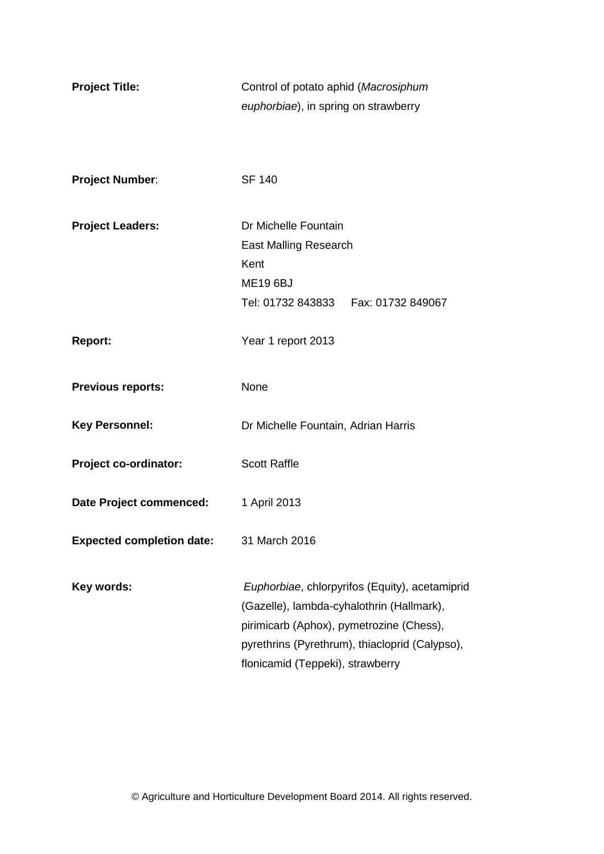| <b>Project Title:</b>            | Control of potato aphid (Macrosiphum      |                                                |
|----------------------------------|-------------------------------------------|------------------------------------------------|
|                                  | euphorbiae), in spring on strawberry      |                                                |
|                                  |                                           |                                                |
|                                  |                                           |                                                |
| <b>Project Number:</b>           | <b>SF 140</b>                             |                                                |
|                                  |                                           |                                                |
| <b>Project Leaders:</b>          | Dr Michelle Fountain                      |                                                |
|                                  | <b>East Malling Research</b>              |                                                |
|                                  | Kent                                      |                                                |
|                                  | <b>ME19 6BJ</b>                           |                                                |
|                                  | Tel: 01732 843833    Fax: 01732 849067    |                                                |
|                                  |                                           |                                                |
| <b>Report:</b>                   | Year 1 report 2013                        |                                                |
|                                  |                                           |                                                |
| <b>Previous reports:</b>         | None                                      |                                                |
| <b>Key Personnel:</b>            | Dr Michelle Fountain, Adrian Harris       |                                                |
|                                  |                                           |                                                |
| Project co-ordinator:            | <b>Scott Raffle</b>                       |                                                |
|                                  |                                           |                                                |
| Date Project commenced:          | 1 April 2013                              |                                                |
|                                  |                                           |                                                |
| <b>Expected completion date:</b> | 31 March 2016                             |                                                |
|                                  |                                           |                                                |
| Key words:                       |                                           | Euphorbiae, chlorpyrifos (Equity), acetamiprid |
|                                  | (Gazelle), lambda-cyhalothrin (Hallmark), |                                                |
|                                  | pirimicarb (Aphox), pymetrozine (Chess),  |                                                |
|                                  |                                           | pyrethrins (Pyrethrum), thiacloprid (Calypso), |
|                                  | flonicamid (Teppeki), strawberry          |                                                |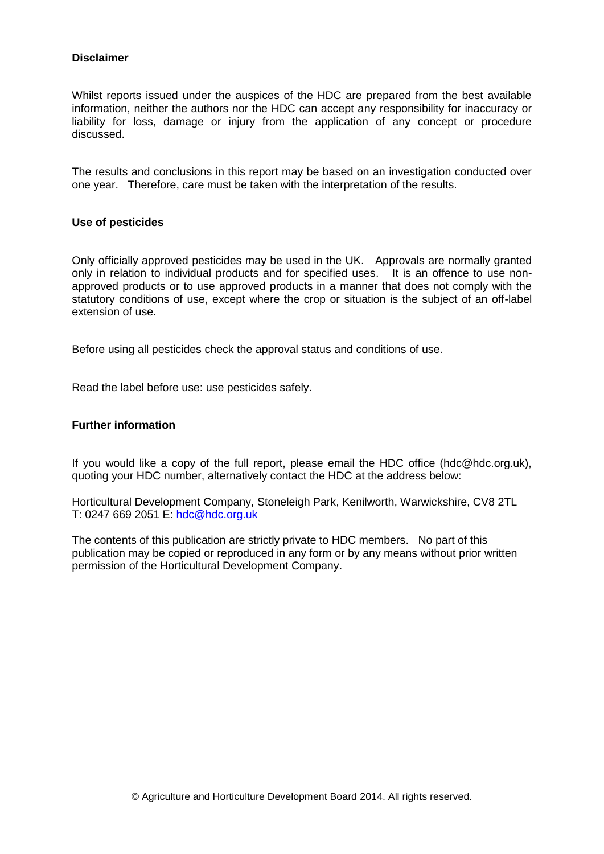#### **Disclaimer**

Whilst reports issued under the auspices of the HDC are prepared from the best available information, neither the authors nor the HDC can accept any responsibility for inaccuracy or liability for loss, damage or injury from the application of any concept or procedure discussed.

The results and conclusions in this report may be based on an investigation conducted over one year. Therefore, care must be taken with the interpretation of the results.

#### **Use of pesticides**

Only officially approved pesticides may be used in the UK. Approvals are normally granted only in relation to individual products and for specified uses. It is an offence to use nonapproved products or to use approved products in a manner that does not comply with the statutory conditions of use, except where the crop or situation is the subject of an off-label extension of use.

Before using all pesticides check the approval status and conditions of use.

Read the label before use: use pesticides safely.

#### **Further information**

If you would like a copy of the full report, please email the HDC office (hdc@hdc.org.uk), quoting your HDC number, alternatively contact the HDC at the address below:

Horticultural Development Company, Stoneleigh Park, Kenilworth, Warwickshire, CV8 2TL T: 0247 669 2051 E: [hdc@hdc.org.uk](mailto:hdc@hdc.org.uk)

The contents of this publication are strictly private to HDC members. No part of this publication may be copied or reproduced in any form or by any means without prior written permission of the Horticultural Development Company.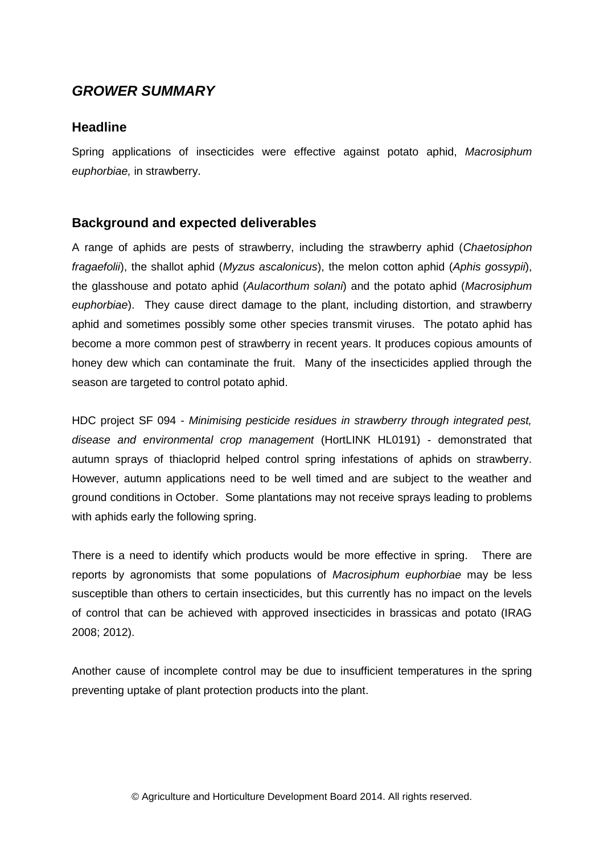# *GROWER SUMMARY*

### **Headline**

Spring applications of insecticides were effective against potato aphid, *Macrosiphum euphorbiae,* in strawberry.

### **Background and expected deliverables**

A range of aphids are pests of strawberry, including the strawberry aphid (*Chaetosiphon fragaefolii*), the shallot aphid (*Myzus ascalonicus*), the melon cotton aphid (*Aphis gossypii*), the glasshouse and potato aphid (*Aulacorthum solani*) and the potato aphid (*Macrosiphum euphorbiae*). They cause direct damage to the plant, including distortion, and strawberry aphid and sometimes possibly some other species transmit viruses. The potato aphid has become a more common pest of strawberry in recent years. It produces copious amounts of honey dew which can contaminate the fruit. Many of the insecticides applied through the season are targeted to control potato aphid.

HDC project SF 094 - *Minimising pesticide residues in strawberry through integrated pest, disease and environmental crop management* (HortLINK HL0191) - demonstrated that autumn sprays of thiacloprid helped control spring infestations of aphids on strawberry. However, autumn applications need to be well timed and are subject to the weather and ground conditions in October. Some plantations may not receive sprays leading to problems with aphids early the following spring.

There is a need to identify which products would be more effective in spring. There are reports by agronomists that some populations of *Macrosiphum euphorbiae* may be less susceptible than others to certain insecticides, but this currently has no impact on the levels of control that can be achieved with approved insecticides in brassicas and potato (IRAG 2008; 2012).

Another cause of incomplete control may be due to insufficient temperatures in the spring preventing uptake of plant protection products into the plant.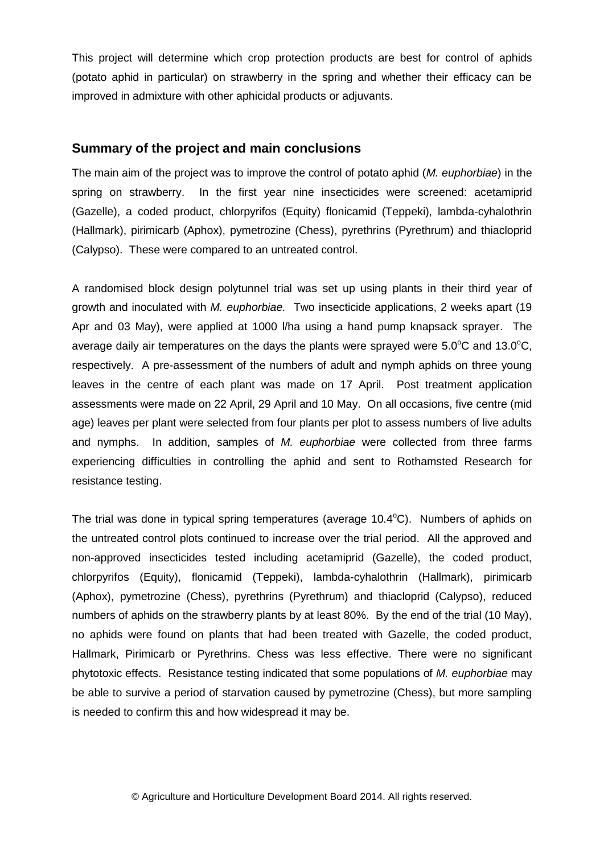This project will determine which crop protection products are best for control of aphids (potato aphid in particular) on strawberry in the spring and whether their efficacy can be improved in admixture with other aphicidal products or adjuvants.

## **Summary of the project and main conclusions**

The main aim of the project was to improve the control of potato aphid (*M. euphorbiae*) in the spring on strawberry. In the first year nine insecticides were screened: acetamiprid (Gazelle), a coded product, chlorpyrifos (Equity) flonicamid (Teppeki), lambda-cyhalothrin (Hallmark), pirimicarb (Aphox), pymetrozine (Chess), pyrethrins (Pyrethrum) and thiacloprid (Calypso). These were compared to an untreated control.

A randomised block design polytunnel trial was set up using plants in their third year of growth and inoculated with *M. euphorbiae.* Two insecticide applications, 2 weeks apart (19 Apr and 03 May), were applied at 1000 l/ha using a hand pump knapsack sprayer. The average daily air temperatures on the days the plants were sprayed were  $5.0^{\circ}$ C and  $13.0^{\circ}$ C, respectively. A pre-assessment of the numbers of adult and nymph aphids on three young leaves in the centre of each plant was made on 17 April. Post treatment application assessments were made on 22 April, 29 April and 10 May. On all occasions, five centre (mid age) leaves per plant were selected from four plants per plot to assess numbers of live adults and nymphs. In addition, samples of *M. euphorbiae* were collected from three farms experiencing difficulties in controlling the aphid and sent to Rothamsted Research for resistance testing.

The trial was done in typical spring temperatures (average  $10.4^{\circ}$ C). Numbers of aphids on the untreated control plots continued to increase over the trial period. All the approved and non-approved insecticides tested including acetamiprid (Gazelle), the coded product, chlorpyrifos (Equity), flonicamid (Teppeki), lambda-cyhalothrin (Hallmark), pirimicarb (Aphox), pymetrozine (Chess), pyrethrins (Pyrethrum) and thiacloprid (Calypso), reduced numbers of aphids on the strawberry plants by at least 80%. By the end of the trial (10 May), no aphids were found on plants that had been treated with Gazelle, the coded product, Hallmark, Pirimicarb or Pyrethrins. Chess was less effective. There were no significant phytotoxic effects. Resistance testing indicated that some populations of *M. euphorbiae* may be able to survive a period of starvation caused by pymetrozine (Chess), but more sampling is needed to confirm this and how widespread it may be.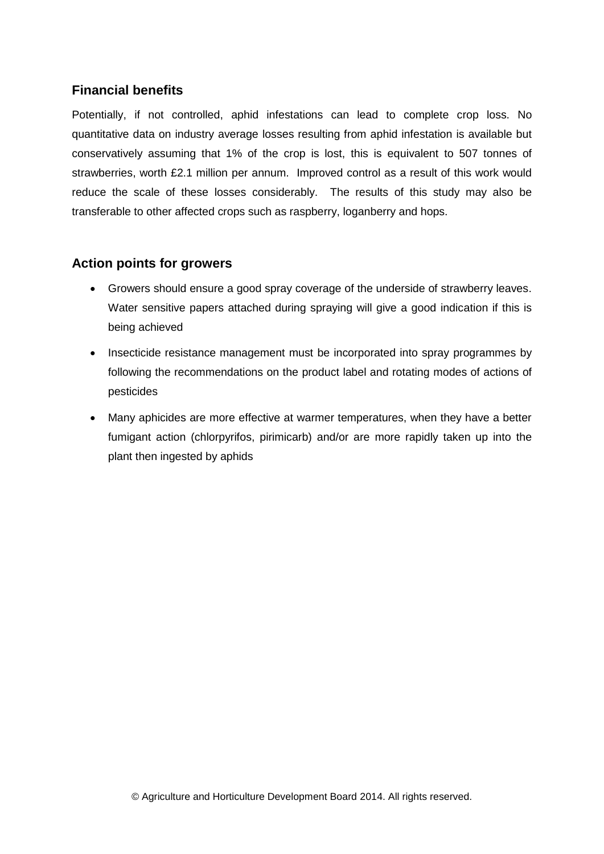# **Financial benefits**

Potentially, if not controlled, aphid infestations can lead to complete crop loss. No quantitative data on industry average losses resulting from aphid infestation is available but conservatively assuming that 1% of the crop is lost, this is equivalent to 507 tonnes of strawberries, worth £2.1 million per annum. Improved control as a result of this work would reduce the scale of these losses considerably. The results of this study may also be transferable to other affected crops such as raspberry, loganberry and hops.

# **Action points for growers**

- Growers should ensure a good spray coverage of the underside of strawberry leaves. Water sensitive papers attached during spraying will give a good indication if this is being achieved
- Insecticide resistance management must be incorporated into spray programmes by following the recommendations on the product label and rotating modes of actions of pesticides
- Many aphicides are more effective at warmer temperatures, when they have a better fumigant action (chlorpyrifos, pirimicarb) and/or are more rapidly taken up into the plant then ingested by aphids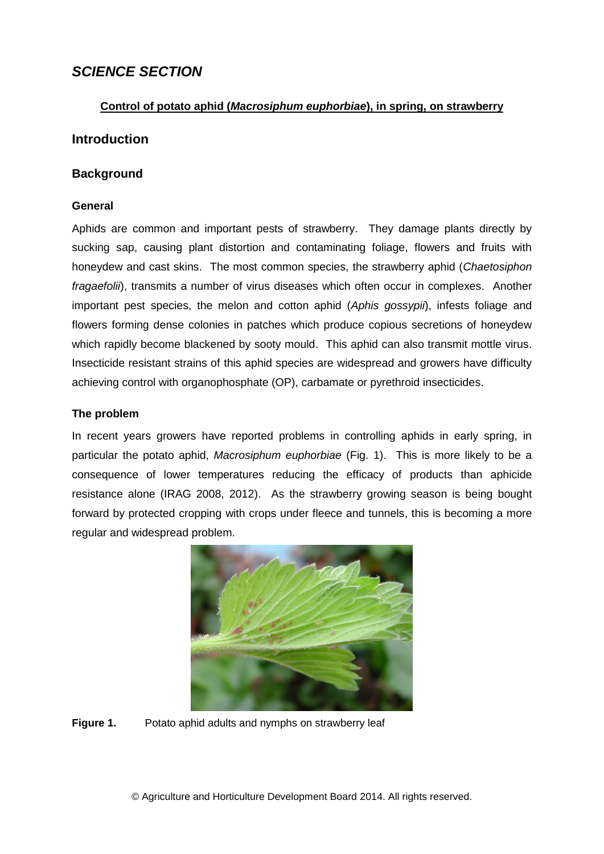# *SCIENCE SECTION*

### **Control of potato aphid (***Macrosiphum euphorbiae***), in spring, on strawberry**

### **Introduction**

### **Background**

### **General**

Aphids are common and important pests of strawberry. They damage plants directly by sucking sap, causing plant distortion and contaminating foliage, flowers and fruits with honeydew and cast skins. The most common species, the strawberry aphid (*Chaetosiphon fragaefolii*), transmits a number of virus diseases which often occur in complexes. Another important pest species, the melon and cotton aphid (*Aphis gossypii*), infests foliage and flowers forming dense colonies in patches which produce copious secretions of honeydew which rapidly become blackened by sooty mould. This aphid can also transmit mottle virus. Insecticide resistant strains of this aphid species are widespread and growers have difficulty achieving control with organophosphate (OP), carbamate or pyrethroid insecticides.

### **The problem**

In recent years growers have reported problems in controlling aphids in early spring, in particular the potato aphid, *Macrosiphum euphorbiae* (Fig. 1). This is more likely to be a consequence of lower temperatures reducing the efficacy of products than aphicide resistance alone (IRAG 2008, 2012). As the strawberry growing season is being bought forward by protected cropping with crops under fleece and tunnels, this is becoming a more regular and widespread problem.



**Figure 1.** Potato aphid adults and nymphs on strawberry leaf

© Agriculture and Horticulture Development Board 2014. All rights reserved.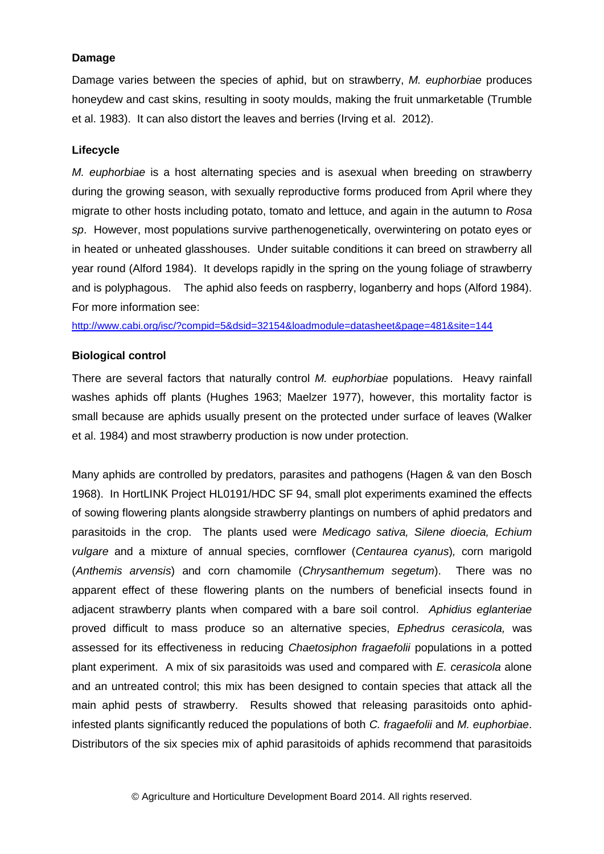### **Damage**

Damage varies between the species of aphid, but on strawberry, *M. euphorbiae* produces honeydew and cast skins, resulting in sooty moulds, making the fruit unmarketable (Trumble et al. 1983). It can also distort the leaves and berries (Irving et al. 2012).

### **Lifecycle**

*M. euphorbiae* is a host alternating species and is asexual when breeding on strawberry during the growing season, with sexually reproductive forms produced from April where they migrate to other hosts including potato, tomato and lettuce, and again in the autumn to *Rosa sp*. However, most populations survive parthenogenetically, overwintering on potato eyes or in heated or unheated glasshouses. Under suitable conditions it can breed on strawberry all year round (Alford 1984). It develops rapidly in the spring on the young foliage of strawberry and is polyphagous. The aphid also feeds on raspberry, loganberry and hops (Alford 1984). For more information see:

<http://www.cabi.org/isc/?compid=5&dsid=32154&loadmodule=datasheet&page=481&site=144>

### **Biological control**

There are several factors that naturally control *M. euphorbiae* populations. Heavy rainfall washes aphids off plants (Hughes 1963; Maelzer 1977), however, this mortality factor is small because are aphids usually present on the protected under surface of leaves (Walker et al. 1984) and most strawberry production is now under protection.

Many aphids are controlled by predators, parasites and pathogens (Hagen & van den Bosch 1968). In HortLINK Project HL0191/HDC SF 94, small plot experiments examined the effects of sowing flowering plants alongside strawberry plantings on numbers of aphid predators and parasitoids in the crop. The plants used were *Medicago sativa, Silene dioecia, Echium vulgare* and a mixture of annual species, cornflower (*Centaurea cyanus*)*,* corn marigold (*Anthemis arvensis*) and corn chamomile (*Chrysanthemum segetum*). There was no apparent effect of these flowering plants on the numbers of beneficial insects found in adjacent strawberry plants when compared with a bare soil control. *Aphidius eglanteriae* proved difficult to mass produce so an alternative species, *Ephedrus cerasicola,* was assessed for its effectiveness in reducing *Chaetosiphon fragaefolii* populations in a potted plant experiment. A mix of six parasitoids was used and compared with *E. cerasicola* alone and an untreated control; this mix has been designed to contain species that attack all the main aphid pests of strawberry. Results showed that releasing parasitoids onto aphidinfested plants significantly reduced the populations of both *C. fragaefolii* and *M. euphorbiae*. Distributors of the six species mix of aphid parasitoids of aphids recommend that parasitoids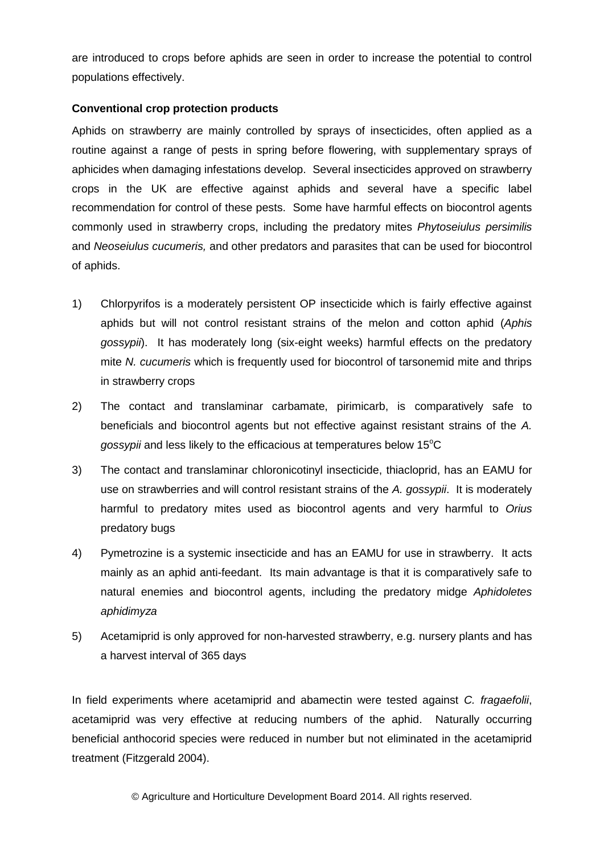are introduced to crops before aphids are seen in order to increase the potential to control populations effectively.

### **Conventional crop protection products**

Aphids on strawberry are mainly controlled by sprays of insecticides, often applied as a routine against a range of pests in spring before flowering, with supplementary sprays of aphicides when damaging infestations develop. Several insecticides approved on strawberry crops in the UK are effective against aphids and several have a specific label recommendation for control of these pests. Some have harmful effects on biocontrol agents commonly used in strawberry crops, including the predatory mites *Phytoseiulus persimilis* and *Neoseiulus cucumeris,* and other predators and parasites that can be used for biocontrol of aphids.

- 1) Chlorpyrifos is a moderately persistent OP insecticide which is fairly effective against aphids but will not control resistant strains of the melon and cotton aphid (*Aphis gossypii*). It has moderately long (six-eight weeks) harmful effects on the predatory mite *N. cucumeris* which is frequently used for biocontrol of tarsonemid mite and thrips in strawberry crops
- 2) The contact and translaminar carbamate, pirimicarb, is comparatively safe to beneficials and biocontrol agents but not effective against resistant strains of the *A. gossypii* and less likely to the efficacious at temperatures below 15<sup>o</sup>C
- 3) The contact and translaminar chloronicotinyl insecticide, thiacloprid, has an EAMU for use on strawberries and will control resistant strains of the *A. gossypii*. It is moderately harmful to predatory mites used as biocontrol agents and very harmful to *Orius* predatory bugs
- 4) Pymetrozine is a systemic insecticide and has an EAMU for use in strawberry. It acts mainly as an aphid anti-feedant. Its main advantage is that it is comparatively safe to natural enemies and biocontrol agents, including the predatory midge *Aphidoletes aphidimyza*
- 5) Acetamiprid is only approved for non-harvested strawberry, e.g. nursery plants and has a harvest interval of 365 days

In field experiments where acetamiprid and abamectin were tested against *C. fragaefolii*, acetamiprid was very effective at reducing numbers of the aphid. Naturally occurring beneficial anthocorid species were reduced in number but not eliminated in the acetamiprid treatment (Fitzgerald 2004).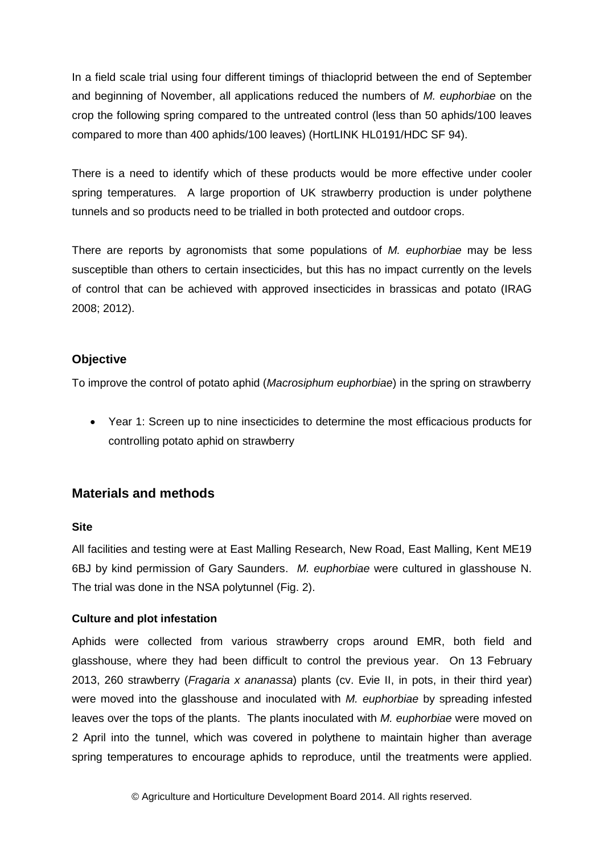In a field scale trial using four different timings of thiacloprid between the end of September and beginning of November, all applications reduced the numbers of *M. euphorbiae* on the crop the following spring compared to the untreated control (less than 50 aphids/100 leaves compared to more than 400 aphids/100 leaves) (HortLINK HL0191/HDC SF 94).

There is a need to identify which of these products would be more effective under cooler spring temperatures. A large proportion of UK strawberry production is under polythene tunnels and so products need to be trialled in both protected and outdoor crops.

There are reports by agronomists that some populations of *M. euphorbiae* may be less susceptible than others to certain insecticides, but this has no impact currently on the levels of control that can be achieved with approved insecticides in brassicas and potato (IRAG 2008; 2012).

### **Objective**

To improve the control of potato aphid (*Macrosiphum euphorbiae*) in the spring on strawberry

 Year 1: Screen up to nine insecticides to determine the most efficacious products for controlling potato aphid on strawberry

# **Materials and methods**

### **Site**

All facilities and testing were at East Malling Research, New Road, East Malling, Kent ME19 6BJ by kind permission of Gary Saunders. *M. euphorbiae* were cultured in glasshouse N. The trial was done in the NSA polytunnel (Fig. 2).

### **Culture and plot infestation**

Aphids were collected from various strawberry crops around EMR, both field and glasshouse, where they had been difficult to control the previous year. On 13 February 2013, 260 strawberry (*Fragaria x ananassa*) plants (cv. Evie II, in pots, in their third year) were moved into the glasshouse and inoculated with *M. euphorbiae* by spreading infested leaves over the tops of the plants. The plants inoculated with *M. euphorbiae* were moved on 2 April into the tunnel, which was covered in polythene to maintain higher than average spring temperatures to encourage aphids to reproduce, until the treatments were applied.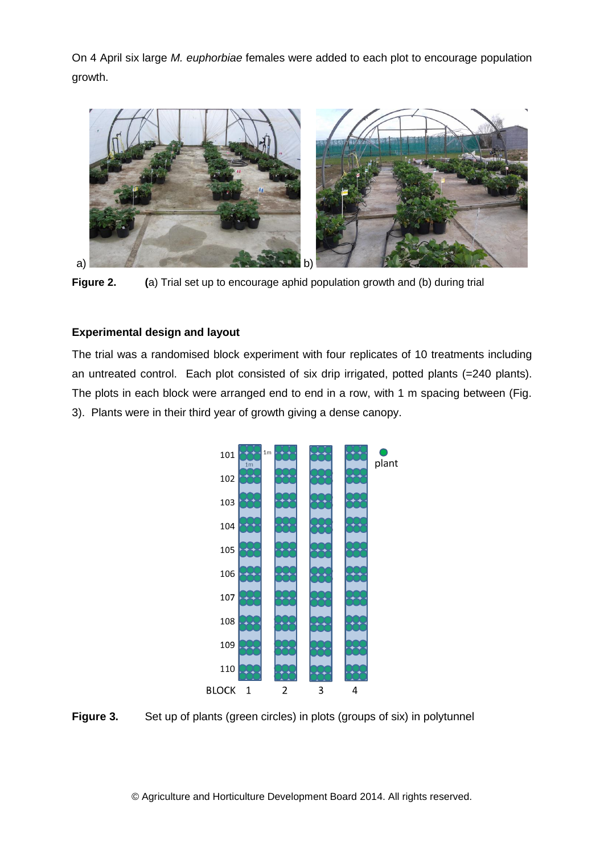On 4 April six large *M. euphorbiae* females were added to each plot to encourage population growth.



**Figure 2. (**a) Trial set up to encourage aphid population growth and (b) during trial

### **Experimental design and layout**

The trial was a randomised block experiment with four replicates of 10 treatments including an untreated control. Each plot consisted of six drip irrigated, potted plants (=240 plants). The plots in each block were arranged end to end in a row, with 1 m spacing between (Fig. 3). Plants were in their third year of growth giving a dense canopy.



**Figure 3.** Set up of plants (green circles) in plots (groups of six) in polytunnel

© Agriculture and Horticulture Development Board 2014. All rights reserved.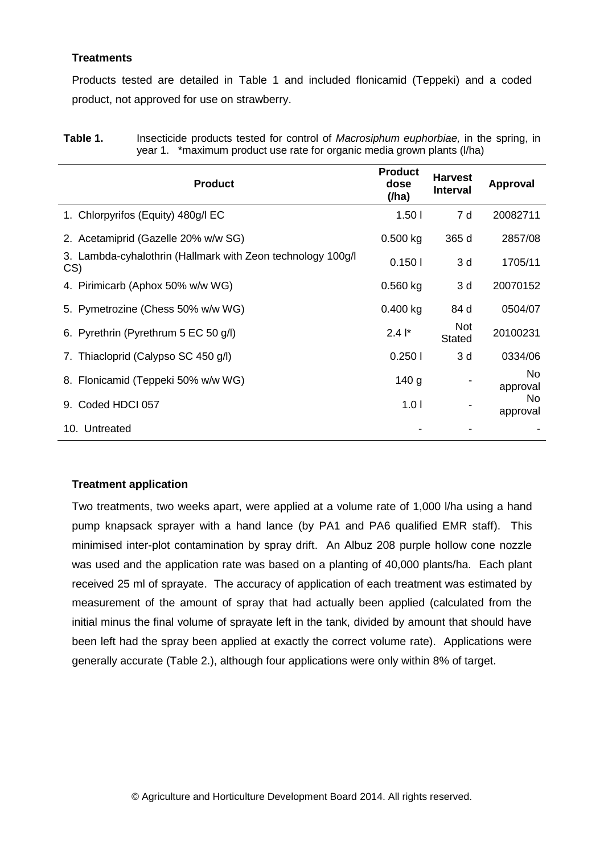### **Treatments**

Products tested are detailed in Table 1 and included flonicamid (Teppeki) and a coded product, not approved for use on strawberry.

| Table 1. | Insecticide products tested for control of Macrosiphum euphorbiae, in the spring, in |
|----------|--------------------------------------------------------------------------------------|
|          | year 1. *maximum product use rate for organic media grown plants (I/ha)              |

| <b>Product</b>                                                     | <b>Product</b><br>dose<br>(/ha) | <b>Harvest</b><br><b>Interval</b> | <b>Approval</b> |
|--------------------------------------------------------------------|---------------------------------|-----------------------------------|-----------------|
| 1. Chlorpyrifos (Equity) 480g/l EC                                 | 1.501                           | 7 d                               | 20082711        |
| 2. Acetamiprid (Gazelle 20% w/w SG)                                | 0.500 kg                        | 365 d                             | 2857/08         |
| 3. Lambda-cyhalothrin (Hallmark with Zeon technology 100g/l<br>CS) | 0.1501                          | 3 d                               | 1705/11         |
| 4. Pirimicarb (Aphox 50% w/w WG)                                   | $0.560$ kg                      | 3d                                | 20070152        |
| 5. Pymetrozine (Chess 50% w/w WG)                                  | 0.400 kg                        | 84 d                              | 0504/07         |
| 6. Pyrethrin (Pyrethrum 5 EC 50 g/l)                               | $2.4$ $\vert$ <sup>*</sup>      | <b>Not</b><br><b>Stated</b>       | 20100231        |
| 7. Thiacloprid (Calypso SC 450 g/l)                                | 0.2501                          | 3d                                | 0334/06         |
| 8. Flonicamid (Teppeki 50% w/w WG)                                 | 140 <sub>g</sub>                |                                   | No<br>approval  |
| Coded HDCI 057<br>9.                                               | 1.01                            |                                   | No.<br>approval |
| 10. Untreated                                                      |                                 |                                   |                 |

### **Treatment application**

Two treatments, two weeks apart, were applied at a volume rate of 1,000 l/ha using a hand pump knapsack sprayer with a hand lance (by PA1 and PA6 qualified EMR staff). This minimised inter-plot contamination by spray drift. An Albuz 208 purple hollow cone nozzle was used and the application rate was based on a planting of 40,000 plants/ha. Each plant received 25 ml of sprayate. The accuracy of application of each treatment was estimated by measurement of the amount of spray that had actually been applied (calculated from the initial minus the final volume of sprayate left in the tank, divided by amount that should have been left had the spray been applied at exactly the correct volume rate). Applications were generally accurate (Table 2.), although four applications were only within 8% of target.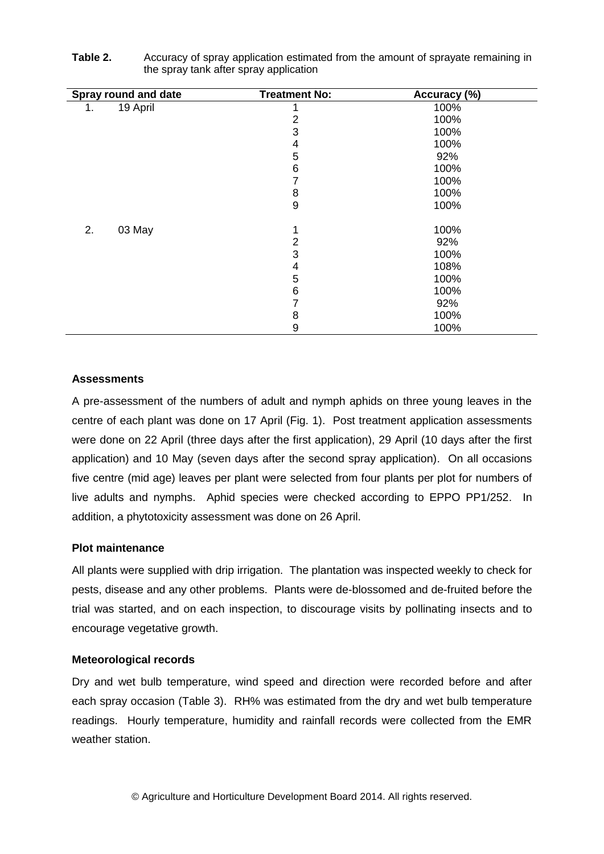|    | Spray round and date | <b>Treatment No:</b> | Accuracy (%) |
|----|----------------------|----------------------|--------------|
| 1. | 19 April             |                      | 100%         |
|    |                      | 2                    | 100%         |
|    |                      | 3                    | 100%         |
|    |                      | 4                    | 100%         |
|    |                      | 5                    | 92%          |
|    |                      | 6                    | 100%         |
|    |                      | 7                    | 100%         |
|    |                      | 8                    | 100%         |
|    |                      | $\boldsymbol{9}$     | 100%         |
| 2. | 03 May               | 1                    | 100%         |
|    |                      | $\overline{2}$       | 92%          |
|    |                      | 3                    | 100%         |
|    |                      | 4                    | 108%         |
|    |                      | 5                    | 100%         |
|    |                      | 6                    | 100%         |
|    |                      | 7                    | 92%          |
|    |                      | 8                    | 100%         |
|    |                      | 9                    | 100%         |

| Table 2. | Accuracy of spray application estimated from the amount of sprayate remaining in |
|----------|----------------------------------------------------------------------------------|
|          | the spray tank after spray application                                           |

### **Assessments**

A pre-assessment of the numbers of adult and nymph aphids on three young leaves in the centre of each plant was done on 17 April (Fig. 1). Post treatment application assessments were done on 22 April (three days after the first application), 29 April (10 days after the first application) and 10 May (seven days after the second spray application). On all occasions five centre (mid age) leaves per plant were selected from four plants per plot for numbers of live adults and nymphs. Aphid species were checked according to EPPO PP1/252. In addition, a phytotoxicity assessment was done on 26 April.

#### **Plot maintenance**

All plants were supplied with drip irrigation. The plantation was inspected weekly to check for pests, disease and any other problems. Plants were de-blossomed and de-fruited before the trial was started, and on each inspection, to discourage visits by pollinating insects and to encourage vegetative growth.

#### **Meteorological records**

Dry and wet bulb temperature, wind speed and direction were recorded before and after each spray occasion (Table 3). RH% was estimated from the dry and wet bulb temperature readings. Hourly temperature, humidity and rainfall records were collected from the EMR weather station.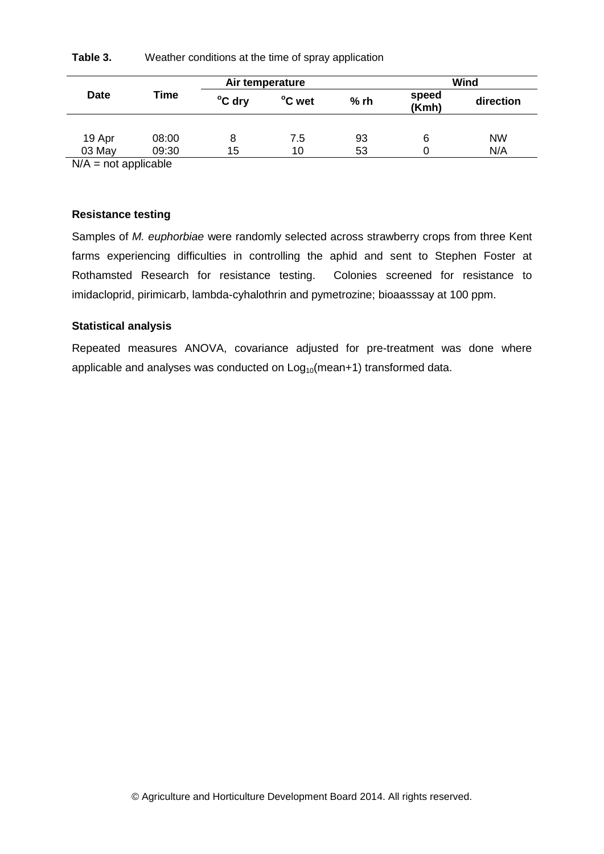| Table 3. | Weather conditions at the time of spray application |
|----------|-----------------------------------------------------|
|----------|-----------------------------------------------------|

|             |       | Air temperature |                  |    | Wind           |           |  |
|-------------|-------|-----------------|------------------|----|----------------|-----------|--|
| <b>Date</b> | Time  | °C dry          | °C wet<br>$%$ rh |    | speed<br>(Kmh) | direction |  |
|             |       |                 |                  |    |                |           |  |
| 19 Apr      | 08:00 | 8               | 7.5              | 93 | 6              | <b>NW</b> |  |
| 03 May      | 09:30 | 15              | 10               | 53 |                | N/A       |  |

 $N/A$  = not applicable

#### **Resistance testing**

Samples of *M. euphorbiae* were randomly selected across strawberry crops from three Kent farms experiencing difficulties in controlling the aphid and sent to Stephen Foster at Rothamsted Research for resistance testing. Colonies screened for resistance to imidacloprid, pirimicarb, lambda-cyhalothrin and pymetrozine; bioaasssay at 100 ppm.

#### **Statistical analysis**

Repeated measures ANOVA, covariance adjusted for pre-treatment was done where applicable and analyses was conducted on  $Log_{10}(mean+1)$  transformed data.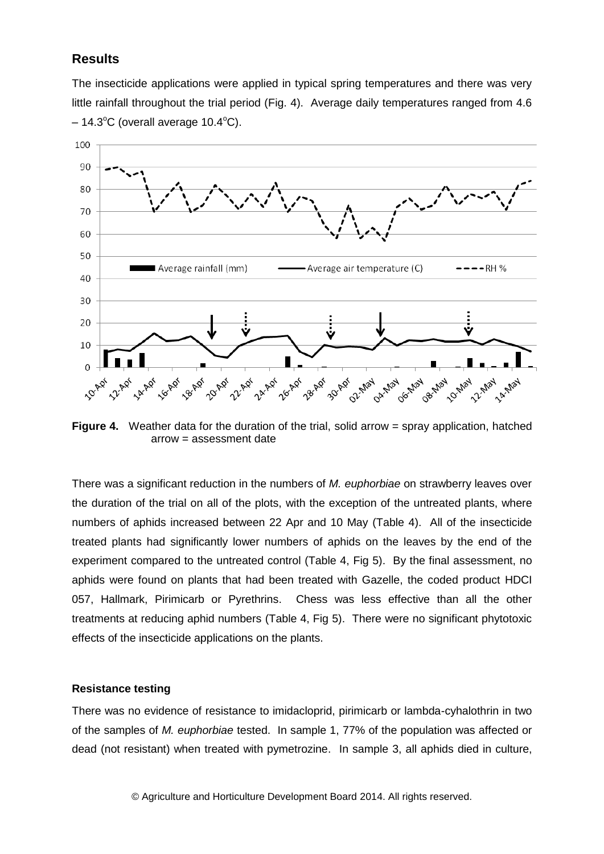### **Results**

The insecticide applications were applied in typical spring temperatures and there was very little rainfall throughout the trial period (Fig. 4). Average daily temperatures ranged from 4.6  $-14.3$ °C (overall average 10.4°C).



**Figure 4.** Weather data for the duration of the trial, solid arrow = spray application, hatched arrow = assessment date

There was a significant reduction in the numbers of *M. euphorbiae* on strawberry leaves over the duration of the trial on all of the plots, with the exception of the untreated plants, where numbers of aphids increased between 22 Apr and 10 May (Table 4). All of the insecticide treated plants had significantly lower numbers of aphids on the leaves by the end of the experiment compared to the untreated control (Table 4, Fig 5). By the final assessment, no aphids were found on plants that had been treated with Gazelle, the coded product HDCI 057, Hallmark, Pirimicarb or Pyrethrins. Chess was less effective than all the other treatments at reducing aphid numbers (Table 4, Fig 5). There were no significant phytotoxic effects of the insecticide applications on the plants.

#### **Resistance testing**

There was no evidence of resistance to imidacloprid, pirimicarb or lambda-cyhalothrin in two of the samples of *M. euphorbiae* tested. In sample 1, 77% of the population was affected or dead (not resistant) when treated with pymetrozine. In sample 3, all aphids died in culture,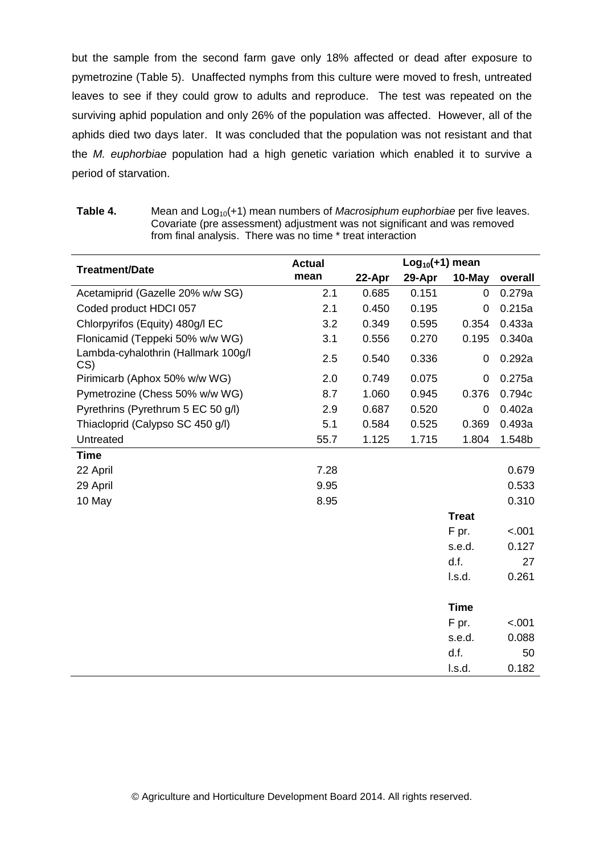but the sample from the second farm gave only 18% affected or dead after exposure to pymetrozine (Table 5). Unaffected nymphs from this culture were moved to fresh, untreated leaves to see if they could grow to adults and reproduce. The test was repeated on the surviving aphid population and only 26% of the population was affected. However, all of the aphids died two days later. It was concluded that the population was not resistant and that the *M. euphorbiae* population had a high genetic variation which enabled it to survive a period of starvation.

| Table 4. | Mean and Log <sub>10</sub> (+1) mean numbers of <i>Macrosiphum euphorbiae</i> per five leaves. |
|----------|------------------------------------------------------------------------------------------------|
|          | Covariate (pre assessment) adjustment was not significant and was removed                      |
|          | from final analysis. There was no time * treat interaction                                     |

|                                            | <b>Actual</b> |        | $Log10(+1)$ mean |              |         |  |  |
|--------------------------------------------|---------------|--------|------------------|--------------|---------|--|--|
| <b>Treatment/Date</b>                      | mean          | 22-Apr | 29-Apr           | 10-May       | overall |  |  |
| Acetamiprid (Gazelle 20% w/w SG)           | 2.1           | 0.685  | 0.151            | 0            | 0.279a  |  |  |
| Coded product HDCI 057                     | 2.1           | 0.450  | 0.195            | 0            | 0.215a  |  |  |
| Chlorpyrifos (Equity) 480g/l EC            | 3.2           | 0.349  | 0.595            | 0.354        | 0.433a  |  |  |
| Flonicamid (Teppeki 50% w/w WG)            | 3.1           | 0.556  | 0.270            | 0.195        | 0.340a  |  |  |
| Lambda-cyhalothrin (Hallmark 100g/l<br>CS) | 2.5           | 0.540  | 0.336            | 0            | 0.292a  |  |  |
| Pirimicarb (Aphox 50% w/w WG)              | 2.0           | 0.749  | 0.075            | 0            | 0.275a  |  |  |
| Pymetrozine (Chess 50% w/w WG)             | 8.7           | 1.060  | 0.945            | 0.376        | 0.794c  |  |  |
| Pyrethrins (Pyrethrum 5 EC 50 g/l)         | 2.9           | 0.687  | 0.520            | 0            | 0.402a  |  |  |
| Thiacloprid (Calypso SC 450 g/l)           | 5.1           | 0.584  | 0.525            | 0.369        | 0.493a  |  |  |
| Untreated                                  | 55.7          | 1.125  | 1.715            | 1.804        | 1.548b  |  |  |
| <b>Time</b>                                |               |        |                  |              |         |  |  |
| 22 April                                   | 7.28          |        |                  |              | 0.679   |  |  |
| 29 April                                   | 9.95          |        |                  |              | 0.533   |  |  |
| 10 May                                     | 8.95          |        |                  |              | 0.310   |  |  |
|                                            |               |        |                  | <b>Treat</b> |         |  |  |
|                                            |               |        |                  | F pr.        | < .001  |  |  |
|                                            |               |        |                  | s.e.d.       | 0.127   |  |  |
|                                            |               |        |                  | d.f.         | 27      |  |  |
|                                            |               |        |                  | I.s.d.       | 0.261   |  |  |
|                                            |               |        |                  |              |         |  |  |
|                                            |               |        |                  | <b>Time</b>  |         |  |  |
|                                            |               |        |                  | F pr.        | < .001  |  |  |
|                                            |               |        |                  | s.e.d.       | 0.088   |  |  |
|                                            |               |        |                  | d.f.         | 50      |  |  |
|                                            |               |        |                  | I.s.d.       | 0.182   |  |  |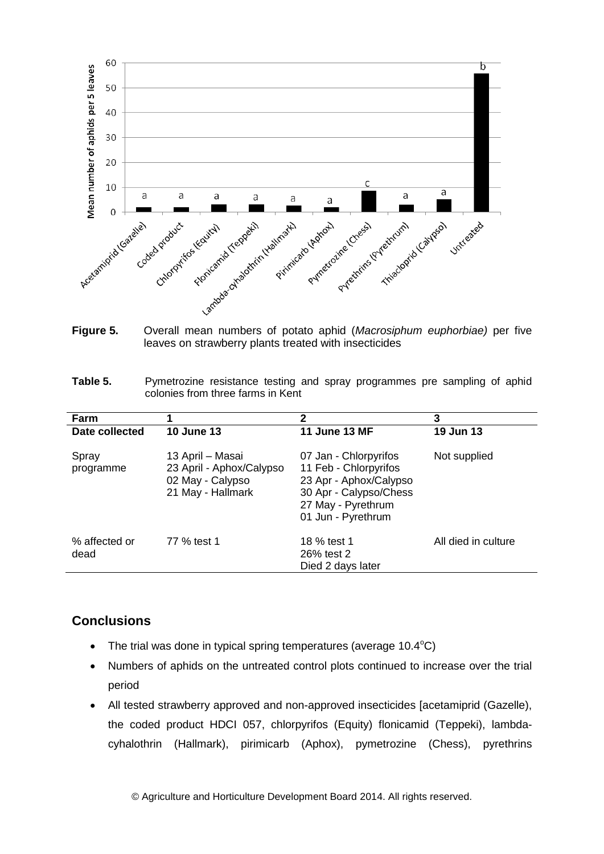

**Figure 5.** Overall mean numbers of potato aphid (*Macrosiphum euphorbiae)* per five leaves on strawberry plants treated with insecticides

| Table 5. | Pymetrozine resistance testing and spray programmes pre sampling of aphid |  |  |  |  |  |
|----------|---------------------------------------------------------------------------|--|--|--|--|--|
|          | colonies from three farms in Kent                                         |  |  |  |  |  |

| Farm                  |                                                                                       | 2                                                                                                                                              | 3                   |
|-----------------------|---------------------------------------------------------------------------------------|------------------------------------------------------------------------------------------------------------------------------------------------|---------------------|
| Date collected        | <b>10 June 13</b>                                                                     | <b>11 June 13 MF</b>                                                                                                                           | 19 Jun 13           |
| Spray<br>programme    | 13 April – Masai<br>23 April - Aphox/Calypso<br>02 May - Calypso<br>21 May - Hallmark | 07 Jan - Chlorpyrifos<br>11 Feb - Chlorpyrifos<br>23 Apr - Aphox/Calypso<br>30 Apr - Calypso/Chess<br>27 May - Pyrethrum<br>01 Jun - Pyrethrum | Not supplied        |
| % affected or<br>dead | 77 % test 1                                                                           | 18 % test 1<br>26% test 2<br>Died 2 days later                                                                                                 | All died in culture |

### **Conclusions**

- The trial was done in typical spring temperatures (average  $10.4^{\circ}$ C)
- Numbers of aphids on the untreated control plots continued to increase over the trial period
- All tested strawberry approved and non-approved insecticides [acetamiprid (Gazelle), the coded product HDCI 057, chlorpyrifos (Equity) flonicamid (Teppeki), lambdacyhalothrin (Hallmark), pirimicarb (Aphox), pymetrozine (Chess), pyrethrins

© Agriculture and Horticulture Development Board 2014. All rights reserved.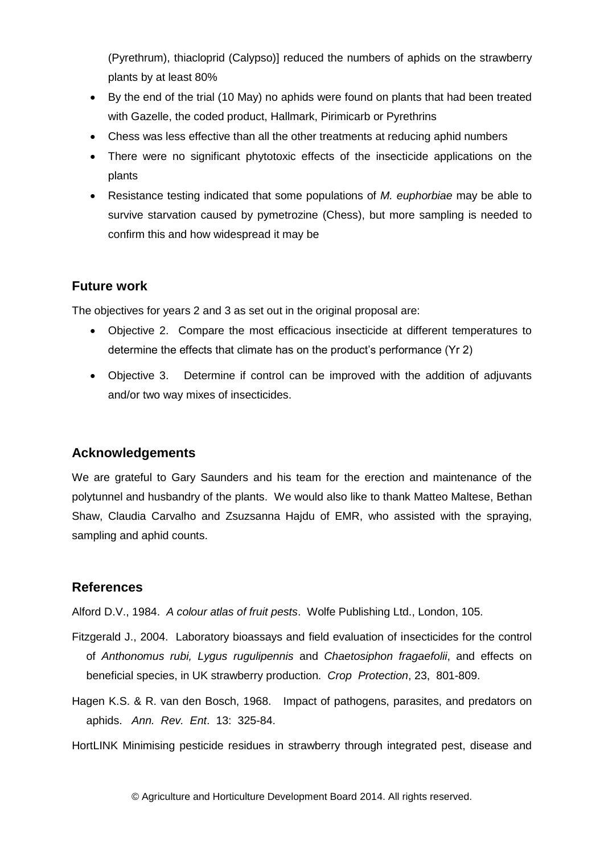(Pyrethrum), thiacloprid (Calypso)] reduced the numbers of aphids on the strawberry plants by at least 80%

- By the end of the trial (10 May) no aphids were found on plants that had been treated with Gazelle, the coded product, Hallmark, Pirimicarb or Pyrethrins
- Chess was less effective than all the other treatments at reducing aphid numbers
- There were no significant phytotoxic effects of the insecticide applications on the plants
- Resistance testing indicated that some populations of *M. euphorbiae* may be able to survive starvation caused by pymetrozine (Chess), but more sampling is needed to confirm this and how widespread it may be

# **Future work**

The objectives for years 2 and 3 as set out in the original proposal are:

- Objective 2. Compare the most efficacious insecticide at different temperatures to determine the effects that climate has on the product's performance (Yr 2)
- Objective 3. Determine if control can be improved with the addition of adjuvants and/or two way mixes of insecticides.

# **Acknowledgements**

We are grateful to Gary Saunders and his team for the erection and maintenance of the polytunnel and husbandry of the plants. We would also like to thank Matteo Maltese, Bethan Shaw, Claudia Carvalho and Zsuzsanna Hajdu of EMR, who assisted with the spraying, sampling and aphid counts.

# **References**

Alford D.V., 1984. *A colour atlas of fruit pests*. Wolfe Publishing Ltd., London, 105.

- Fitzgerald J., 2004. Laboratory bioassays and field evaluation of insecticides for the control of *Anthonomus rubi, Lygus rugulipennis* and *Chaetosiphon fragaefolii*, and effects on beneficial species, in UK strawberry production. *Crop Protection*, 23, 801-809.
- Hagen K.S. & R. van den Bosch, 1968. Impact of pathogens, parasites, and predators on aphids. *Ann. Rev. Ent*. 13: 325-84.

HortLINK Minimising pesticide residues in strawberry through integrated pest, disease and